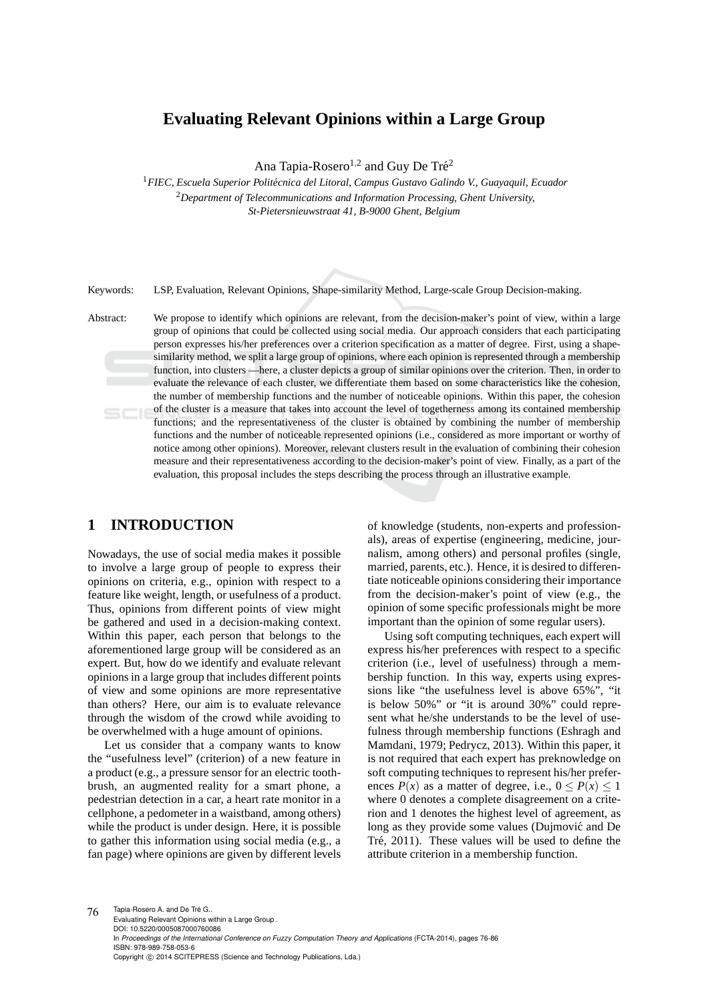# **Evaluating Relevant Opinions within a Large Group**

Ana Tapia-Rosero<sup>1,2</sup> and Guy De Tré<sup>2</sup>

<sup>1</sup> FIEC, Escuela Superior Politécnica del Litoral, Campus Gustavo Galindo V., Guayaquil, Ecuador <sup>2</sup>*Department of Telecommunications and Information Processing, Ghent University, St-Pietersnieuwstraat 41, B-9000 Ghent, Belgium*

Keywords: LSP, Evaluation, Relevant Opinions, Shape-similarity Method, Large-scale Group Decision-making.

Abstract: We propose to identify which opinions are relevant, from the decision-maker's point of view, within a large group of opinions that could be collected using social media. Our approach considers that each participating person expresses his/her preferences over a criterion specification as a matter of degree. First, using a shapesimilarity method, we split a large group of opinions, where each opinion is represented through a membership function, into clusters —here, a cluster depicts a group of similar opinions over the criterion. Then, in order to evaluate the relevance of each cluster, we differentiate them based on some characteristics like the cohesion, the number of membership functions and the number of noticeable opinions. Within this paper, the cohesion of the cluster is a measure that takes into account the level of togetherness among its contained membership functions; and the representativeness of the cluster is obtained by combining the number of membership functions and the number of noticeable represented opinions (i.e., considered as more important or worthy of notice among other opinions). Moreover, relevant clusters result in the evaluation of combining their cohesion measure and their representativeness according to the decision-maker's point of view. Finally, as a part of the evaluation, this proposal includes the steps describing the process through an illustrative example.

## **1 INTRODUCTION**

Nowadays, the use of social media makes it possible to involve a large group of people to express their opinions on criteria, e.g., opinion with respect to a feature like weight, length, or usefulness of a product. Thus, opinions from different points of view might be gathered and used in a decision-making context. Within this paper, each person that belongs to the aforementioned large group will be considered as an expert. But, how do we identify and evaluate relevant opinions in a large group that includes different points of view and some opinions are more representative than others? Here, our aim is to evaluate relevance through the wisdom of the crowd while avoiding to be overwhelmed with a huge amount of opinions.

Let us consider that a company wants to know the "usefulness level" (criterion) of a new feature in a product (e.g., a pressure sensor for an electric toothbrush, an augmented reality for a smart phone, a pedestrian detection in a car, a heart rate monitor in a cellphone, a pedometer in a waistband, among others) while the product is under design. Here, it is possible to gather this information using social media (e.g., a fan page) where opinions are given by different levels

of knowledge (students, non-experts and professionals), areas of expertise (engineering, medicine, journalism, among others) and personal profiles (single, married, parents, etc.). Hence, it is desired to differentiate noticeable opinions considering their importance from the decision-maker's point of view (e.g., the opinion of some specific professionals might be more important than the opinion of some regular users).

Using soft computing techniques, each expert will express his/her preferences with respect to a specific criterion (i.e., level of usefulness) through a membership function. In this way, experts using expressions like "the usefulness level is above 65%", "it is below 50%" or "it is around 30%" could represent what he/she understands to be the level of usefulness through membership functions (Eshragh and Mamdani, 1979; Pedrycz, 2013). Within this paper, it is not required that each expert has preknowledge on soft computing techniques to represent his/her preferences  $P(x)$  as a matter of degree, i.e.,  $0 \le P(x) \le 1$ where 0 denotes a complete disagreement on a criterion and 1 denotes the highest level of agreement, as long as they provide some values (Dujmović and De Tré, 2011). These values will be used to define the attribute criterion in a membership function.

76 Tapia-Rosero A. and De Tré G.. Evaluating Relevant Opinions within a Large Group . DOI: 10.5220/0005087000760086 In *Proceedings of the International Conference on Fuzzy Computation Theory and Applications* (FCTA-2014), pages 76-86 ISBN: 978-989-758-053-6 Copyright © 2014 SCITEPRESS (Science and Technology Publications, Lda.)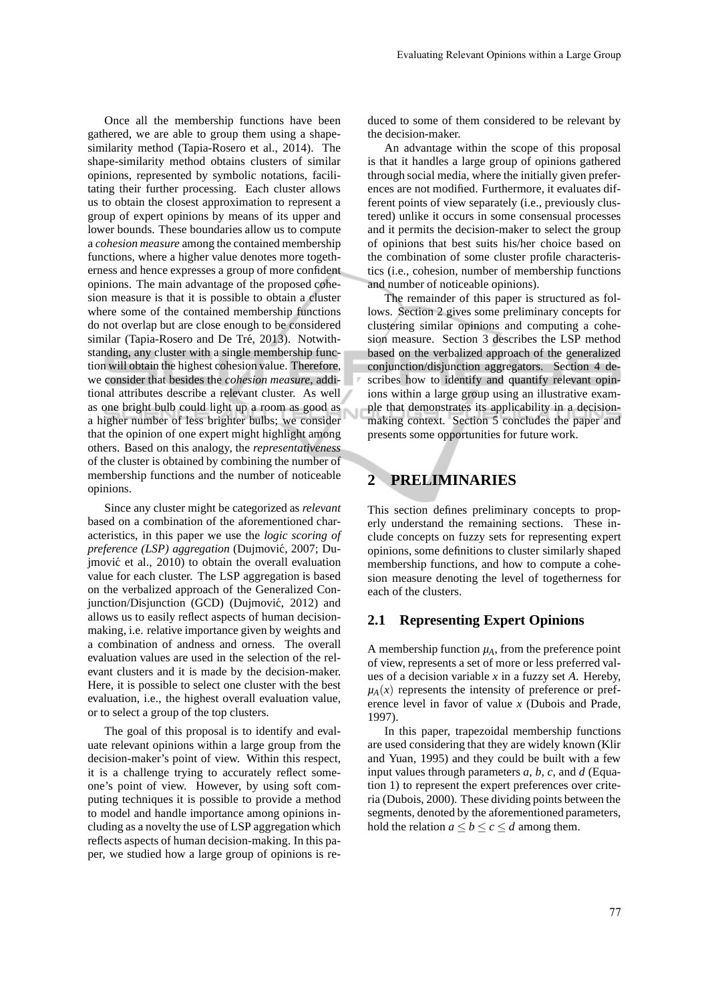Once all the membership functions have been gathered, we are able to group them using a shapesimilarity method (Tapia-Rosero et al., 2014). The shape-similarity method obtains clusters of similar opinions, represented by symbolic notations, facilitating their further processing. Each cluster allows us to obtain the closest approximation to represent a group of expert opinions by means of its upper and lower bounds. These boundaries allow us to compute a *cohesion measure* among the contained membership functions, where a higher value denotes more togetherness and hence expresses a group of more confident opinions. The main advantage of the proposed cohesion measure is that it is possible to obtain a cluster where some of the contained membership functions do not overlap but are close enough to be considered similar (Tapia-Rosero and De Tré, 2013). Notwithstanding, any cluster with a single membership function will obtain the highest cohesion value. Therefore, we consider that besides the *cohesion measure*, additional attributes describe a relevant cluster. As well as one bright bulb could light up a room as good as a higher number of less brighter bulbs; we consider that the opinion of one expert might highlight among others. Based on this analogy, the *representativeness* of the cluster is obtained by combining the number of membership functions and the number of noticeable opinions.

Since any cluster might be categorized as *relevant* based on a combination of the aforementioned characteristics, in this paper we use the *logic scoring of* preference (LSP) aggregation (Dujmović, 2007; Dujmović et al., 2010) to obtain the overall evaluation value for each cluster. The LSP aggregation is based on the verbalized approach of the Generalized Conjunction/Disjunction (GCD) (Dujmović, 2012) and allows us to easily reflect aspects of human decisionmaking, i.e. relative importance given by weights and a combination of andness and orness. The overall evaluation values are used in the selection of the relevant clusters and it is made by the decision-maker. Here, it is possible to select one cluster with the best evaluation, i.e., the highest overall evaluation value, or to select a group of the top clusters.

The goal of this proposal is to identify and evaluate relevant opinions within a large group from the decision-maker's point of view. Within this respect, it is a challenge trying to accurately reflect someone's point of view. However, by using soft computing techniques it is possible to provide a method to model and handle importance among opinions including as a novelty the use of LSP aggregation which reflects aspects of human decision-making. In this paper, we studied how a large group of opinions is reduced to some of them considered to be relevant by the decision-maker.

An advantage within the scope of this proposal is that it handles a large group of opinions gathered through social media, where the initially given preferences are not modified. Furthermore, it evaluates different points of view separately (i.e., previously clustered) unlike it occurs in some consensual processes and it permits the decision-maker to select the group of opinions that best suits his/her choice based on the combination of some cluster profile characteristics (i.e., cohesion, number of membership functions and number of noticeable opinions).

The remainder of this paper is structured as follows. Section 2 gives some preliminary concepts for clustering similar opinions and computing a cohesion measure. Section 3 describes the LSP method based on the verbalized approach of the generalized conjunction/disjunction aggregators. Section 4 describes how to identify and quantify relevant opinions within a large group using an illustrative example that demonstrates its applicability in a decisionmaking context. Section 5 concludes the paper and presents some opportunities for future work.

# **2 PRELIMINARIES**

This section defines preliminary concepts to properly understand the remaining sections. These include concepts on fuzzy sets for representing expert opinions, some definitions to cluster similarly shaped membership functions, and how to compute a cohesion measure denoting the level of togetherness for each of the clusters.

#### **2.1 Representing Expert Opinions**

A membership function  $\mu_A$ , from the preference point of view, represents a set of more or less preferred values of a decision variable *x* in a fuzzy set *A*. Hereby,  $\mu_A(x)$  represents the intensity of preference or preference level in favor of value *x* (Dubois and Prade, 1997).

In this paper, trapezoidal membership functions are used considering that they are widely known (Klir and Yuan, 1995) and they could be built with a few input values through parameters *a, b, c*, and *d* (Equation 1) to represent the expert preferences over criteria (Dubois, 2000). These dividing points between the segments, denoted by the aforementioned parameters, hold the relation  $a \leq b \leq c \leq d$  among them.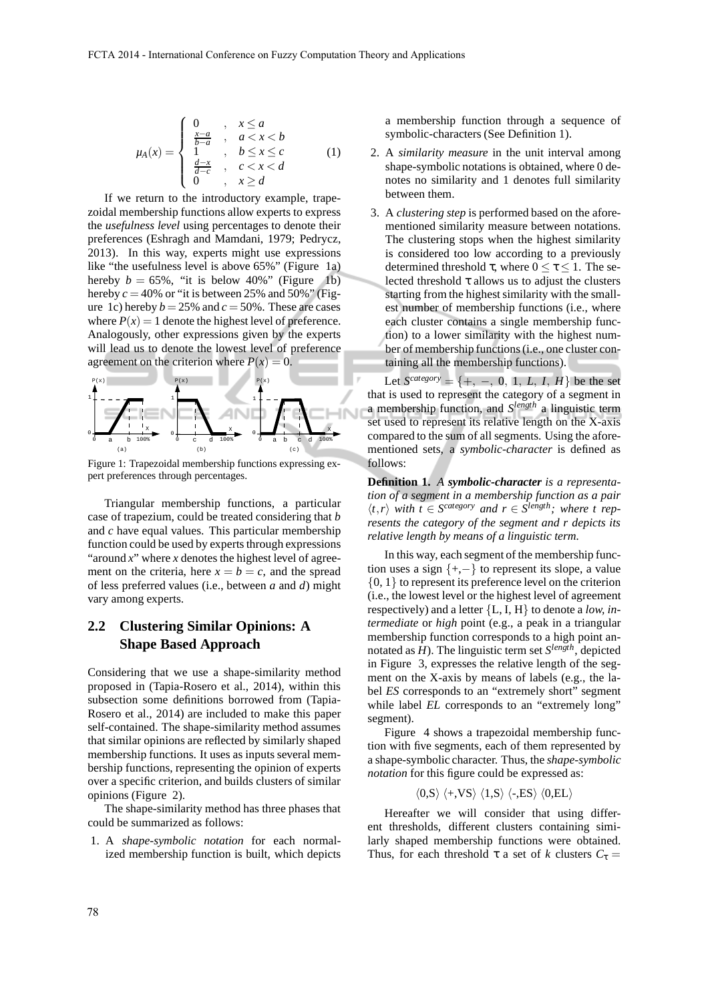$$
\mu_A(x) = \begin{cases}\n0 & , x \le a \\
\frac{x-a}{b-a} & , a < x < b \\
1 & , b \le x \le c \\
\frac{d-x}{d-c} & , c < x < d \\
0 & , x \ge d\n\end{cases}
$$
\n(1)

If we return to the introductory example, trapezoidal membership functions allow experts to express the *usefulness level* using percentages to denote their preferences (Eshragh and Mamdani, 1979; Pedrycz, 2013). In this way, experts might use expressions like "the usefulness level is above 65%" (Figure 1a) hereby  $b = 65\%$ , "it is below 40%" (Figure 1b) hereby  $c = 40\%$  or "it is between 25% and 50%" (Figure 1c) hereby  $b = 25\%$  and  $c = 50\%$ . These are cases where  $P(x) = 1$  denote the highest level of preference. Analogously, other expressions given by the experts will lead us to denote the lowest level of preference agreement on the criterion where  $P(x) = 0$ .



Figure 1: Trapezoidal membership functions expressing expert preferences through percentages.

Triangular membership functions, a particular case of trapezium, could be treated considering that *b* and *c* have equal values. This particular membership function could be used by experts through expressions "around *x*" where *x* denotes the highest level of agreement on the criteria, here  $x = b = c$ , and the spread of less preferred values (i.e., between *a* and *d*) might vary among experts.

## **2.2 Clustering Similar Opinions: A Shape Based Approach**

Considering that we use a shape-similarity method proposed in (Tapia-Rosero et al., 2014), within this subsection some definitions borrowed from (Tapia-Rosero et al., 2014) are included to make this paper self-contained. The shape-similarity method assumes that similar opinions are reflected by similarly shaped membership functions. It uses as inputs several membership functions, representing the opinion of experts over a specific criterion, and builds clusters of similar opinions (Figure 2).

The shape-similarity method has three phases that could be summarized as follows:

1. A *shape-symbolic notation* for each normalized membership function is built, which depicts a membership function through a sequence of symbolic-characters (See Definition 1).

- 2. A *similarity measure* in the unit interval among shape-symbolic notations is obtained, where 0 denotes no similarity and 1 denotes full similarity between them.
- 3. A *clustering step* is performed based on the aforementioned similarity measure between notations. The clustering stops when the highest similarity is considered too low according to a previously determined threshold  $\tau$ , where  $0 \le \tau \le 1$ . The selected threshold  $\tau$  allows us to adjust the clusters starting from the highest similarity with the smallest number of membership functions (i.e., where each cluster contains a single membership function) to a lower similarity with the highest number of membership functions (i.e., one cluster containing all the membership functions).

Let  $S^{category} = \{+, -, 0, 1, L, I, H\}$  be the set that is used to represent the category of a segment in a membership function, and *S length* a linguistic term set used to represent its relative length on the X-axis compared to the sum of all segments. Using the aforementioned sets, a *symbolic-character* is defined as follows:

**Definition 1.** *A symbolic-character is a representation of a segment in a membership function as a pair*  $\langle t, r \rangle$  *with*  $t \in S^{category}$  *and*  $r \in S^{length}$ *; where t represents the category of the segment and r depicts its relative length by means of a linguistic term.*

In this way, each segment of the membership function uses a sign {+,−} to represent its slope, a value  $\{0, 1\}$  to represent its preference level on the criterion (i.e., the lowest level or the highest level of agreement respectively) and a letter {L, I, H} to denote a *low, intermediate* or *high* point (e.g., a peak in a triangular membership function corresponds to a high point annotated as  $H$ ). The linguistic term set  $S^{length}$ , depicted in Figure 3, expresses the relative length of the segment on the X-axis by means of labels (e.g., the label *ES* corresponds to an "extremely short" segment while label *EL* corresponds to an "extremely long" segment).

Figure 4 shows a trapezoidal membership function with five segments, each of them represented by a shape-symbolic character. Thus, the *shape-symbolic notation* for this figure could be expressed as:

$$
\langle 0, S \rangle \langle +, VS \rangle \langle 1, S \rangle \langle -, ES \rangle \langle 0, EL \rangle
$$

Hereafter we will consider that using different thresholds, different clusters containing similarly shaped membership functions were obtained. Thus, for each threshold  $\tau$  a set of *k* clusters  $C_{\tau}$  =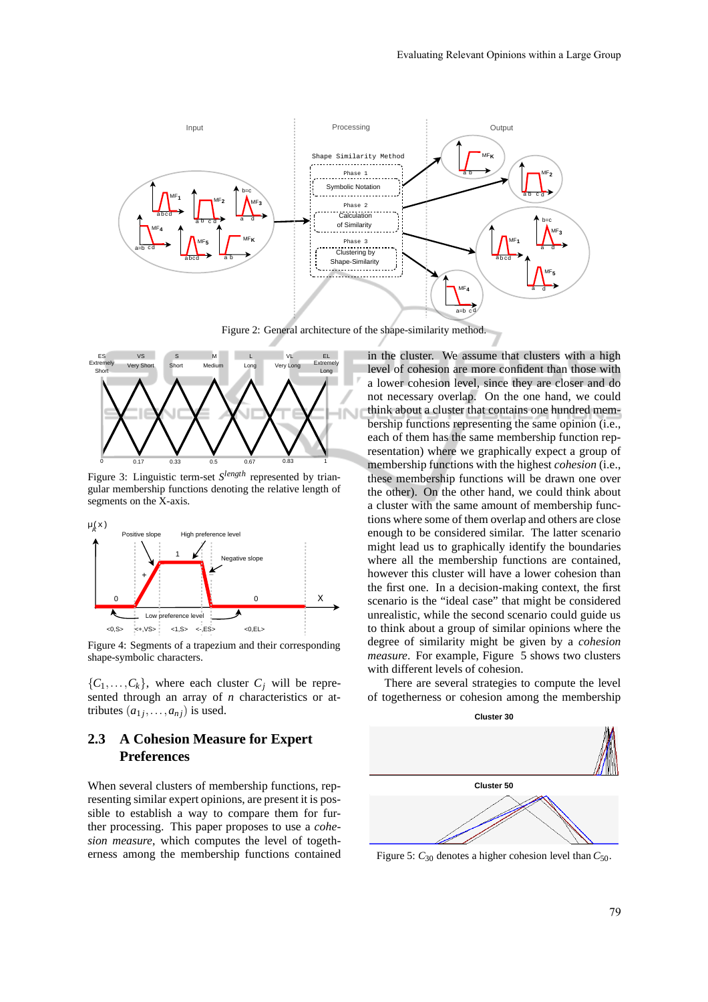

Figure 2: General architecture of the shape-similarity method.



Figure 3: Linguistic term-set  $S^{length}$  represented by triangular membership functions denoting the relative length of segments on the X-axis.



Figure 4: Segments of a trapezium and their corresponding shape-symbolic characters.

 ${C_1, \ldots, C_k}$ , where each cluster  $C_i$  will be represented through an array of *n* characteristics or attributes  $(a_{1j}, \ldots, a_{nj})$  is used.

## **2.3 A Cohesion Measure for Expert Preferences**

When several clusters of membership functions, representing similar expert opinions, are present it is possible to establish a way to compare them for further processing. This paper proposes to use a *cohesion measure*, which computes the level of togetherness among the membership functions contained in the cluster. We assume that clusters with a high level of cohesion are more confident than those with a lower cohesion level, since they are closer and do not necessary overlap. On the one hand, we could think about a cluster that contains one hundred membership functions representing the same opinion (i.e., each of them has the same membership function representation) where we graphically expect a group of membership functions with the highest *cohesion* (i.e., these membership functions will be drawn one over the other). On the other hand, we could think about a cluster with the same amount of membership functions where some of them overlap and others are close enough to be considered similar. The latter scenario might lead us to graphically identify the boundaries where all the membership functions are contained, however this cluster will have a lower cohesion than the first one. In a decision-making context, the first scenario is the "ideal case" that might be considered unrealistic, while the second scenario could guide us to think about a group of similar opinions where the degree of similarity might be given by a *cohesion measure*. For example, Figure 5 shows two clusters with different levels of cohesion.

There are several strategies to compute the level of togetherness or cohesion among the membership



Figure 5:  $C_{30}$  denotes a higher cohesion level than  $C_{50}$ .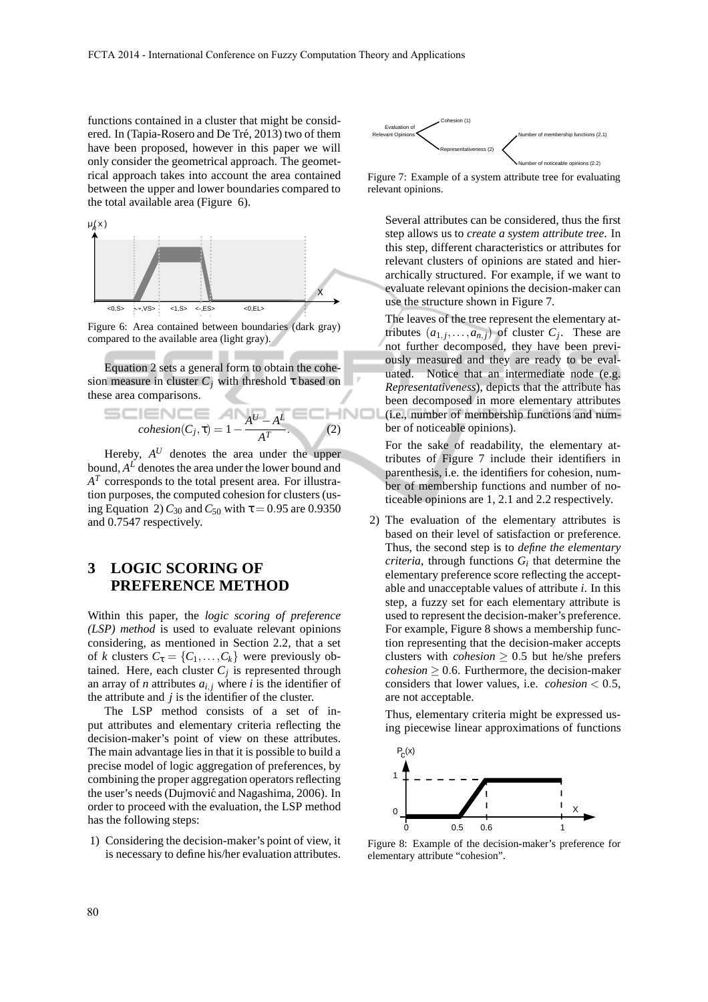functions contained in a cluster that might be considered. In (Tapia-Rosero and De Tré, 2013) two of them have been proposed, however in this paper we will only consider the geometrical approach. The geometrical approach takes into account the area contained between the upper and lower boundaries compared to the total available area (Figure 6).



Figure 6: Area contained between boundaries (dark gray) compared to the available area (light gray).

Equation 2 sets a general form to obtain the cohesion measure in cluster  $C_j$  with threshold  $\tau$  based on these area comparisons.

$$
cohesion(C_j, \tau) = 1 - \frac{A^U - A^L}{A^T}.
$$
 (2)

٠

Hereby,  $A^U$  denotes the area under the upper bound,  $A^L$  denotes the area under the lower bound and *A T* corresponds to the total present area. For illustration purposes, the computed cohesion for clusters (using Equation 2)  $C_{30}$  and  $C_{50}$  with  $\tau = 0.95$  are 0.9350 and 0.7547 respectively.

# **3 LOGIC SCORING OF PREFERENCE METHOD**

Within this paper, the *logic scoring of preference (LSP) method* is used to evaluate relevant opinions considering, as mentioned in Section 2.2, that a set of *k* clusters  $C_{\tau} = \{C_1, \ldots, C_k\}$  were previously obtained. Here, each cluster  $C_j$  is represented through an array of *n* attributes  $a_{i,j}$  where *i* is the identifier of the attribute and *j* is the identifier of the cluster.

The LSP method consists of a set of input attributes and elementary criteria reflecting the decision-maker's point of view on these attributes. The main advantage lies in that it is possible to build a precise model of logic aggregation of preferences, by combining the proper aggregation operators reflecting the user's needs (Dujmović and Nagashima, 2006). In order to proceed with the evaluation, the LSP method has the following steps:

1) Considering the decision-maker's point of view, it is necessary to define his/her evaluation attributes.



Figure 7: Example of a system attribute tree for evaluating relevant opinions.

Several attributes can be considered, thus the first step allows us to *create a system attribute tree*. In this step, different characteristics or attributes for relevant clusters of opinions are stated and hierarchically structured. For example, if we want to evaluate relevant opinions the decision-maker can use the structure shown in Figure 7.

The leaves of the tree represent the elementary attributes  $(a_{1,j},...,a_{n,j})$  of cluster  $C_j$ . These are not further decomposed, they have been previously measured and they are ready to be evaluated. Notice that an intermediate node (e.g. *Representativeness*), depicts that the attribute has been decomposed in more elementary attributes (i.e., number of membership functions and number of noticeable opinions).

For the sake of readability, the elementary attributes of Figure 7 include their identifiers in parenthesis, i.e. the identifiers for cohesion, number of membership functions and number of noticeable opinions are 1, 2.1 and 2.2 respectively.

2) The evaluation of the elementary attributes is based on their level of satisfaction or preference. Thus, the second step is to *define the elementary criteria*, through functions  $G_i$  that determine the elementary preference score reflecting the acceptable and unacceptable values of attribute *i*. In this step, a fuzzy set for each elementary attribute is used to represent the decision-maker's preference. For example, Figure 8 shows a membership function representing that the decision-maker accepts clusters with *cohesion*  $\geq$  0.5 but he/she prefers  $cohesion \geq 0.6$ . Furthermore, the decision-maker considers that lower values, i.e. *cohesion* < 0.5, are not acceptable.

Thus, elementary criteria might be expressed using piecewise linear approximations of functions



Figure 8: Example of the decision-maker's preference for elementary attribute "cohesion".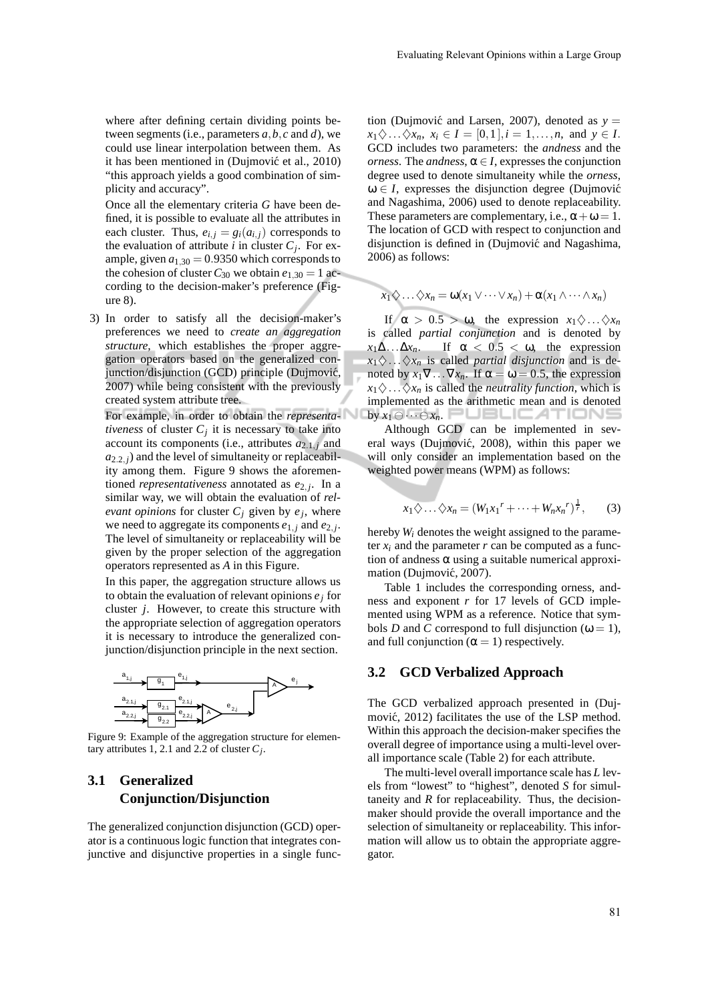where after defining certain dividing points between segments (i.e., parameters *a*,*b*,*c* and *d*), we could use linear interpolation between them. As it has been mentioned in (Dujmović et al., 2010) "this approach yields a good combination of simplicity and accuracy".

Once all the elementary criteria *G* have been defined, it is possible to evaluate all the attributes in each cluster. Thus,  $e_{i,j} = g_i(a_{i,j})$  corresponds to the evaluation of attribute *i* in cluster  $C_j$ . For example, given  $a_{1,30} = 0.9350$  which corresponds to the cohesion of cluster  $C_{30}$  we obtain  $e_{1,30} = 1$  according to the decision-maker's preference (Figure 8).

3) In order to satisfy all the decision-maker's preferences we need to *create an aggregation structure*, which establishes the proper aggregation operators based on the generalized conjunction/disjunction (GCD) principle (Dujmović, 2007) while being consistent with the previously created system attribute tree.

For example, in order to obtain the *representativeness* of cluster  $C_j$  it is necessary to take into account its components (i.e., attributes  $a_{2,1,i}$  and  $a_{2,2}$ , *j*) and the level of simultaneity or replaceability among them. Figure 9 shows the aforementioned *representativeness* annotated as *e*2, *<sup>j</sup>* . In a similar way, we will obtain the evaluation of *relevant opinions* for cluster  $C_j$  given by  $e_j$ , where we need to aggregate its components  $e_{1,j}$  and  $e_{2,j}$ . The level of simultaneity or replaceability will be given by the proper selection of the aggregation operators represented as *A* in this Figure.

In this paper, the aggregation structure allows us to obtain the evaluation of relevant opinions *e<sup>j</sup>* for cluster *j*. However, to create this structure with the appropriate selection of aggregation operators it is necessary to introduce the generalized conjunction/disjunction principle in the next section.



Figure 9: Example of the aggregation structure for elementary attributes 1, 2.1 and 2.2 of cluster *C<sup>j</sup>* .

## **3.1 Generalized Conjunction/Disjunction**

The generalized conjunction disjunction (GCD) operator is a continuous logic function that integrates conjunctive and disjunctive properties in a single func-

tion (Dujmović and Larsen, 2007), denoted as  $y =$  $x_1 \diamondsuit \ldots \diamondsuit x_n, \ x_i \in I = [0,1], i = 1, \ldots, n, \text{ and } y \in I.$ GCD includes two parameters: the *andness* and the *orness*. The *andness*,  $\alpha \in I$ , expresses the conjunction degree used to denote simultaneity while the *orness*,  $\omega \in I$ , expresses the disjunction degree (Dujmović and Nagashima, 2006) used to denote replaceability. These parameters are complementary, i.e.,  $\alpha + \omega = 1$ . The location of GCD with respect to conjunction and disjunction is defined in (Dujmović and Nagashima, 2006) as follows:

$$
x_1 \diamondsuit \ldots \diamondsuit x_n = \omega(x_1 \vee \cdots \vee x_n) + \alpha(x_1 \wedge \cdots \wedge x_n)
$$

If  $\alpha > 0.5 > \omega$ , the expression  $x_1 \diamondsuit \dots \diamondsuit x_n$ is called *partial conjunction* and is denoted by  $x_1 \Delta \ldots \Delta x_n$ . If  $\alpha < 0.5 < \omega$ , the expression  $x_1 \diamondsuit \ldots \diamondsuit x_n$  is called *partial disjunction* and is denoted by  $x_1 \nabla \dots \nabla x_n$ . If  $\alpha = \omega = 0.5$ , the expression  $x_1 \diamondsuit \ldots \diamondsuit x_n$  is called the *neutrality function*, which is implemented as the arithmetic mean and is denoted by *x*<sup>1</sup> ⊖ ··· ⊖*xn*.

Although GCD can be implemented in several ways (Dujmović, 2008), within this paper we will only consider an implementation based on the weighted power means (WPM) as follows:

$$
x_1 \diamondsuit \ldots \diamondsuit x_n = (W_1 x_1^r + \cdots + W_n x_n^r)^{\frac{1}{r}}, \qquad (3)
$$

hereby *W<sup>i</sup>* denotes the weight assigned to the parameter  $x_i$  and the parameter  $r$  can be computed as a function of andness  $\alpha$  using a suitable numerical approximation (Dujmović, 2007).

Table 1 includes the corresponding orness, andness and exponent *r* for 17 levels of GCD implemented using WPM as a reference. Notice that symbols *D* and *C* correspond to full disjunction ( $\omega = 1$ ), and full conjunction ( $\alpha = 1$ ) respectively.

#### **3.2 GCD Verbalized Approach**

The GCD verbalized approach presented in (Dujmović, 2012) facilitates the use of the LSP method. Within this approach the decision-maker specifies the overall degree of importance using a multi-level overall importance scale (Table 2) for each attribute.

The multi-level overall importance scale has *L* levels from "lowest" to "highest", denoted *S* for simultaneity and  $R$  for replaceability. Thus, the decisionmaker should provide the overall importance and the selection of simultaneity or replaceability. This information will allow us to obtain the appropriate aggregator.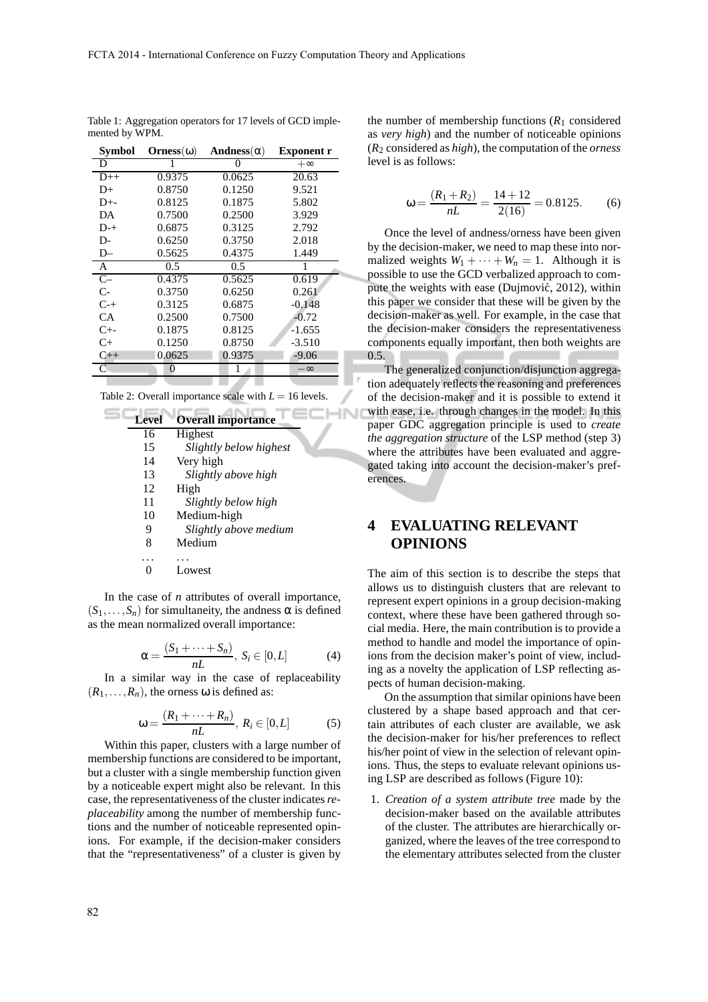| <b>Symbol</b> | $Orness(\omega)$ | Andness( $\alpha$ ) | <b>Exponent r</b> |
|---------------|------------------|---------------------|-------------------|
| D             | I                | 0                   | $+\infty$         |
| $D++$         | 0.9375           | 0.0625              | 20.63             |
| $D+$          | 0.8750           | 0.1250              | 9.521             |
| $D^{+-}$      | 0.8125           | 0.1875              | 5.802             |
| DA            | 0.7500           | 0.2500              | 3.929             |
| $D^{-+}$      | 0.6875           | 0.3125              | 2.792             |
| D-            | 0.6250           | 0.3750              | 2.018             |
| D-            | 0.5625           | 0.4375              | 1.449             |
| $\mathbf{A}$  | 0.5              | 0.5                 |                   |
| $C-$          | 0.4375           | 0.5625              | 0.619             |
| $C-$          | 0.3750           | 0.6250              | 0.261             |
| $C-+$         | 0.3125           | 0.6875              | $-0.148$          |
| CA            | 0.2500           | 0.7500              | $-0.72$           |
| $C_{+}$       | 0.1875           | 0.8125              | $-1.655$          |
| $C+$          | 0.1250           | 0.8750              | $-3.510$          |
| $C++$         | 0.0625           | 0.9375              | $-9.06$           |
| C             | 0                | 1                   | $-\infty$         |
|               |                  |                     |                   |

Table 1: Aggregation operators for 17 levels of GCD implemented by WPM.

Table 2: Overall importance scale with  $L = 16$  levels.

**INI** 

| <b>Level</b> | <b>Overall importance</b> |
|--------------|---------------------------|
| 16           | Highest                   |
| 15           | Slightly below highest    |
| 14           | Very high                 |
| 13           | Slightly above high       |
| 12           | High                      |
| 11           | Slightly below high       |
| 10           | Medium-high               |
| 9            | Slightly above medium     |
| 8            | Medium                    |
|              |                           |
|              | owest                     |

In the case of *n* attributes of overall importance,  $(S_1, \ldots, S_n)$  for simultaneity, the andness  $\alpha$  is defined as the mean normalized overall importance:

$$
\alpha = \frac{(S_1 + \dots + S_n)}{nL}, \ S_i \in [0, L] \tag{4}
$$

In a similar way in the case of replaceability  $(R_1, \ldots, R_n)$ , the orness  $\omega$  is defined as:

$$
\omega = \frac{(R_1 + \dots + R_n)}{nL}, R_i \in [0, L]
$$
 (5)

Within this paper, clusters with a large number of membership functions are considered to be important, but a cluster with a single membership function given by a noticeable expert might also be relevant. In this case, the representativeness of the cluster indicates*replaceability* among the number of membership functions and the number of noticeable represented opinions. For example, if the decision-maker considers that the "representativeness" of a cluster is given by

the number of membership functions  $(R_1 \text{ considered})$ as *very high*) and the number of noticeable opinions (*R*<sup>2</sup> considered as *high*), the computation of the *orness* level is as follows:

$$
\omega = \frac{(R_1 + R_2)}{nL} = \frac{14 + 12}{2(16)} = 0.8125. \tag{6}
$$

Once the level of andness/orness have been given by the decision-maker, we need to map these into normalized weights  $W_1 + \cdots + W_n = 1$ . Although it is possible to use the GCD verbalized approach to compute the weights with ease (Dujmović, 2012), within this paper we consider that these will be given by the decision-maker as well. For example, in the case that the decision-maker considers the representativeness components equally important, then both weights are 0.5.

The generalized conjunction/disjunction aggregation adequately reflects the reasoning and preferences of the decision-maker and it is possible to extend it with ease, i.e. through changes in the model. In this paper GDC aggregation principle is used to *create the aggregation structure* of the LSP method (step 3) where the attributes have been evaluated and aggregated taking into account the decision-maker's preferences.

# **4 EVALUATING RELEVANT OPINIONS**

The aim of this section is to describe the steps that allows us to distinguish clusters that are relevant to represent expert opinions in a group decision-making context, where these have been gathered through social media. Here, the main contribution is to provide a method to handle and model the importance of opinions from the decision maker's point of view, including as a novelty the application of LSP reflecting aspects of human decision-making.

On the assumption that similar opinions have been clustered by a shape based approach and that certain attributes of each cluster are available, we ask the decision-maker for his/her preferences to reflect his/her point of view in the selection of relevant opinions. Thus, the steps to evaluate relevant opinions using LSP are described as follows (Figure 10):

1. *Creation of a system attribute tree* made by the decision-maker based on the available attributes of the cluster. The attributes are hierarchically organized, where the leaves of the tree correspond to the elementary attributes selected from the cluster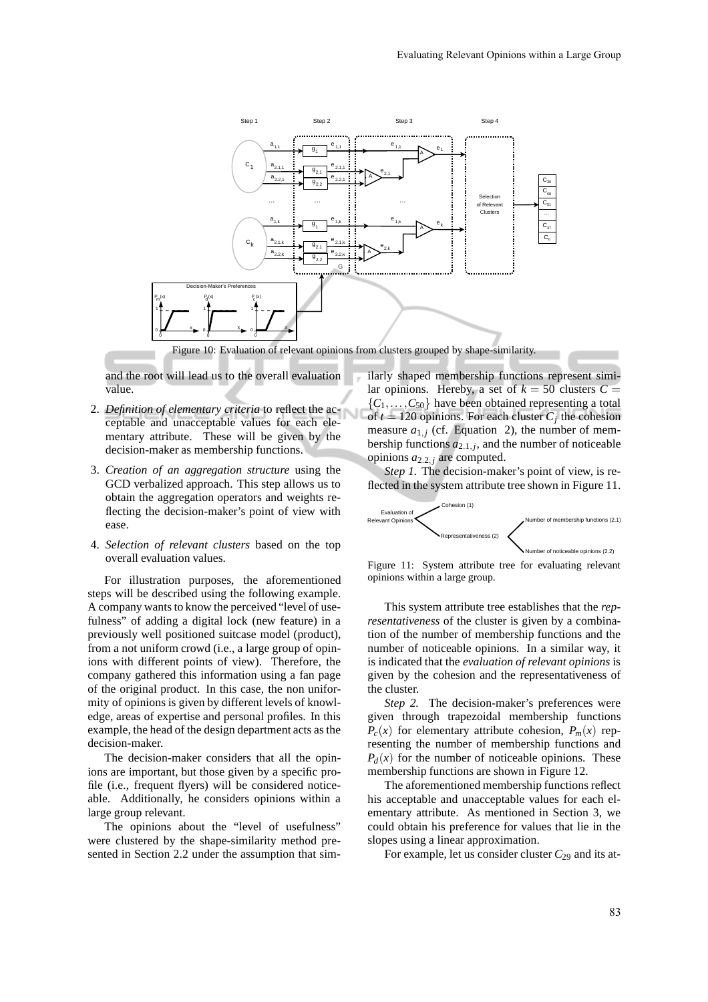

and the root will lead us to the overall evaluation value.

- 2. *Definition of elementary criteria* to reflect the acceptable and unacceptable values for each elementary attribute. These will be given by the decision-maker as membership functions.
- 3. *Creation of an aggregation structure* using the GCD verbalized approach. This step allows us to obtain the aggregation operators and weights reflecting the decision-maker's point of view with ease.
- 4. *Selection of relevant clusters* based on the top overall evaluation values.

For illustration purposes, the aforementioned steps will be described using the following example. A company wants to know the perceived "level of usefulness" of adding a digital lock (new feature) in a previously well positioned suitcase model (product), from a not uniform crowd (i.e., a large group of opinions with different points of view). Therefore, the company gathered this information using a fan page of the original product. In this case, the non uniformity of opinions is given by different levels of knowledge, areas of expertise and personal profiles. In this example, the head of the design department acts as the decision-maker.

The decision-maker considers that all the opinions are important, but those given by a specific profile (i.e., frequent flyers) will be considered noticeable. Additionally, he considers opinions within a large group relevant.

The opinions about the "level of usefulness" were clustered by the shape-similarity method presented in Section 2.2 under the assumption that similarly shaped membership functions represent similar opinions. Hereby, a set of  $k = 50$  clusters  $C =$  ${C_1, \ldots, C_{50}}$  have been obtained representing a total of  $t = 120$  opinions. For each cluster  $C_j$  the cohesion measure  $a_{1,i}$  (cf. Equation 2), the number of membership functions  $a_{2,1,j}$ , and the number of noticeable opinions *a*2.2, *<sup>j</sup>* are computed.

*Step 1.* The decision-maker's point of view, is reflected in the system attribute tree shown in Figure 11.



Figure 11: System attribute tree for evaluating relevant opinions within a large group.

This system attribute tree establishes that the *representativeness* of the cluster is given by a combination of the number of membership functions and the number of noticeable opinions. In a similar way, it is indicated that the *evaluation of relevant opinions* is given by the cohesion and the representativeness of the cluster.

*Step 2.* The decision-maker's preferences were given through trapezoidal membership functions  $P_c(x)$  for elementary attribute cohesion,  $P_m(x)$  representing the number of membership functions and  $P_d(x)$  for the number of noticeable opinions. These membership functions are shown in Figure 12.

The aforementioned membership functions reflect his acceptable and unacceptable values for each elementary attribute. As mentioned in Section 3, we could obtain his preference for values that lie in the slopes using a linear approximation.

For example, let us consider cluster  $C_{29}$  and its at-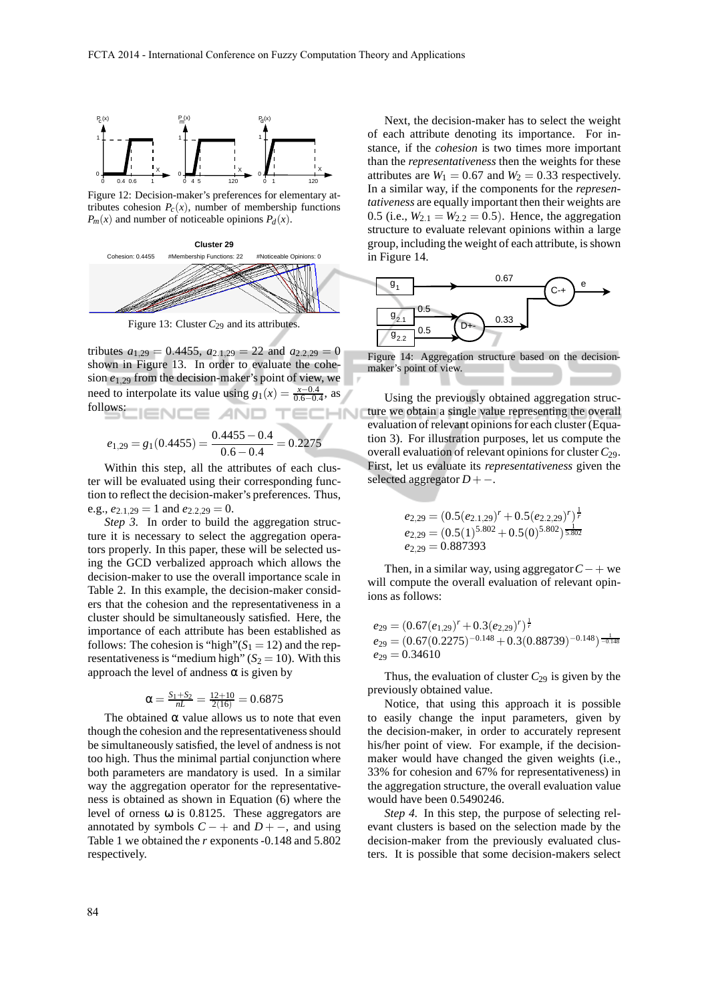

Figure 12: Decision-maker's preferences for elementary attributes cohesion  $P_c(x)$ , number of membership functions  $P_m(x)$  and number of noticeable opinions  $P_d(x)$ .



Figure 13: Cluster  $C_{29}$  and its attributes.

tributes  $a_{1,29} = 0.4455$ ,  $a_{2,1,29} = 22$  and  $a_{2,2,29} = 0$ shown in Figure 13. In order to evaluate the cohesion *e*1,<sup>29</sup> from the decision-maker's point of view, we need to interpolate its value using  $g_1(x) = \frac{x-0.4}{0.6-0.4}$ , as follows: - AN **HNI** 

$$
e_{1,29} = g_1(0.4455) = \frac{0.4455 - 0.4}{0.6 - 0.4} = 0.2275
$$

Within this step, all the attributes of each cluster will be evaluated using their corresponding function to reflect the decision-maker's preferences. Thus, e.g.,  $e_{2.1,29} = 1$  and  $e_{2.2,29} = 0$ .

*Step 3.* In order to build the aggregation structure it is necessary to select the aggregation operators properly. In this paper, these will be selected using the GCD verbalized approach which allows the decision-maker to use the overall importance scale in Table 2. In this example, the decision-maker considers that the cohesion and the representativeness in a cluster should be simultaneously satisfied. Here, the importance of each attribute has been established as follows: The cohesion is "high" $(S_1 = 12)$  and the representativeness is "medium high"  $(S_2 = 10)$ . With this approach the level of andness  $\alpha$  is given by

$$
\alpha=\tfrac{S_1+S_2}{nL}=\tfrac{12+10}{2(16)}=0.6875
$$

The obtained  $\alpha$  value allows us to note that even though the cohesion and the representativeness should be simultaneously satisfied, the level of andness is not too high. Thus the minimal partial conjunction where both parameters are mandatory is used. In a similar way the aggregation operator for the representativeness is obtained as shown in Equation (6) where the level of orness ω is 0.8125. These aggregators are annotated by symbols  $C - +$  and  $D + -$ , and using Table 1 we obtained the *r* exponents -0.148 and 5.802 respectively.

Next, the decision-maker has to select the weight of each attribute denoting its importance. For instance, if the *cohesion* is two times more important than the *representativeness* then the weights for these attributes are  $W_1 = 0.67$  and  $W_2 = 0.33$  respectively. In a similar way, if the components for the *representativeness* are equally important then their weights are 0.5 (i.e.,  $W_{2,1} = W_{2,2} = 0.5$ ). Hence, the aggregation structure to evaluate relevant opinions within a large group, including the weight of each attribute, is shown in Figure 14.



Figure 14: Aggregation structure based on the decisionmaker's point of view.

Using the previously obtained aggregation structure we obtain a single value representing the overall evaluation of relevant opinions for each cluster (Equation 3). For illustration purposes, let us compute the overall evaluation of relevant opinions for cluster *C*29. First, let us evaluate its *representativeness* given the selected aggregator *D*+−.

$$
e_{2,29} = (0.5(e_{2.1,29})^r + 0.5(e_{2.2,29})^r)^{\frac{1}{r}}
$$
  
\n
$$
e_{2,29} = (0.5(1)^{5.802} + 0.5(0)^{5.802})^{\frac{1}{5.802}}
$$
  
\n
$$
e_{2,29} = 0.887393
$$

Then, in a similar way, using aggregator*C*−+ we will compute the overall evaluation of relevant opinions as follows:

$$
e_{29} = (0.67(e_{1,29})^r + 0.3(e_{2,29})^r)^{\frac{1}{r}}
$$
  
\n
$$
e_{29} = (0.67(0.2275)^{-0.148} + 0.3(0.88739)^{-0.148})^{\frac{1}{-0.148}}
$$
  
\n
$$
e_{29} = 0.34610
$$

Thus, the evaluation of cluster  $C_{29}$  is given by the previously obtained value.

Notice, that using this approach it is possible to easily change the input parameters, given by the decision-maker, in order to accurately represent his/her point of view. For example, if the decisionmaker would have changed the given weights (i.e., 33% for cohesion and 67% for representativeness) in the aggregation structure, the overall evaluation value would have been 0.5490246.

*Step 4.* In this step, the purpose of selecting relevant clusters is based on the selection made by the decision-maker from the previously evaluated clusters. It is possible that some decision-makers select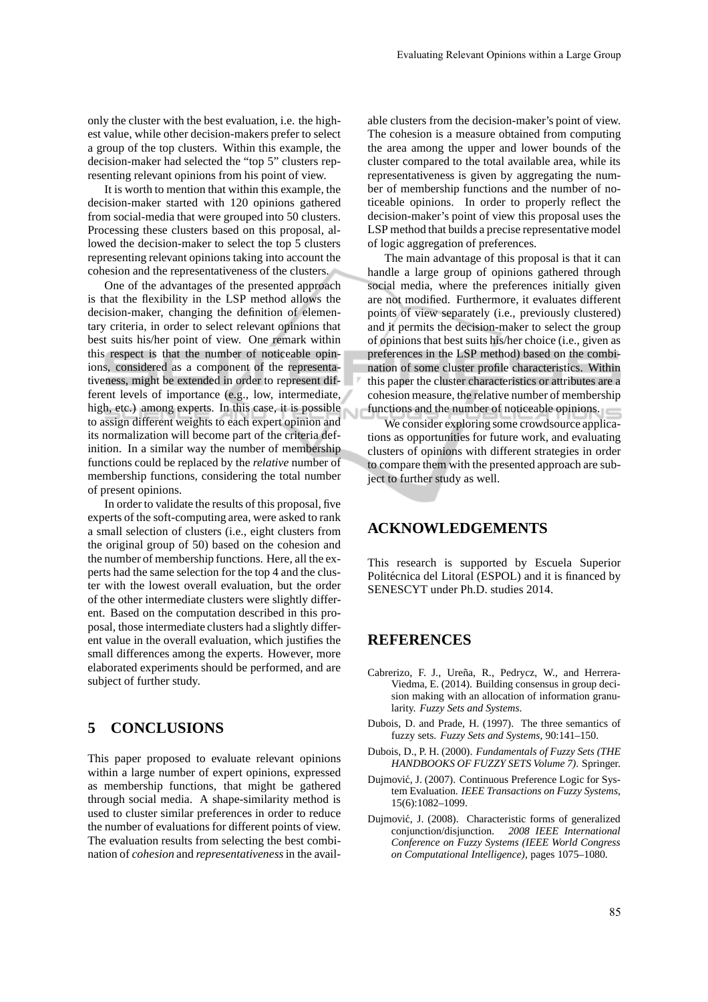only the cluster with the best evaluation, i.e. the highest value, while other decision-makers prefer to select a group of the top clusters. Within this example, the decision-maker had selected the "top 5" clusters representing relevant opinions from his point of view.

It is worth to mention that within this example, the decision-maker started with 120 opinions gathered from social-media that were grouped into 50 clusters. Processing these clusters based on this proposal, allowed the decision-maker to select the top 5 clusters representing relevant opinions taking into account the cohesion and the representativeness of the clusters.

One of the advantages of the presented approach is that the flexibility in the LSP method allows the decision-maker, changing the definition of elementary criteria, in order to select relevant opinions that best suits his/her point of view. One remark within this respect is that the number of noticeable opinions, considered as a component of the representativeness, might be extended in order to represent different levels of importance (e.g., low, intermediate, high, etc.) among experts. In this case, it is possible to assign different weights to each expert opinion and its normalization will become part of the criteria definition. In a similar way the number of membership functions could be replaced by the *relative* number of membership functions, considering the total number of present opinions.

In order to validate the results of this proposal, five experts of the soft-computing area, were asked to rank a small selection of clusters (i.e., eight clusters from the original group of 50) based on the cohesion and the number of membership functions. Here, all the experts had the same selection for the top 4 and the cluster with the lowest overall evaluation, but the order of the other intermediate clusters were slightly different. Based on the computation described in this proposal, those intermediate clusters had a slightly different value in the overall evaluation, which justifies the small differences among the experts. However, more elaborated experiments should be performed, and are subject of further study.

# **5 CONCLUSIONS**

This paper proposed to evaluate relevant opinions within a large number of expert opinions, expressed as membership functions, that might be gathered through social media. A shape-similarity method is used to cluster similar preferences in order to reduce the number of evaluations for different points of view. The evaluation results from selecting the best combination of *cohesion* and *representativeness*in the avail-

able clusters from the decision-maker's point of view. The cohesion is a measure obtained from computing the area among the upper and lower bounds of the cluster compared to the total available area, while its representativeness is given by aggregating the number of membership functions and the number of noticeable opinions. In order to properly reflect the decision-maker's point of view this proposal uses the LSP method that builds a precise representative model of logic aggregation of preferences.

The main advantage of this proposal is that it can handle a large group of opinions gathered through social media, where the preferences initially given are not modified. Furthermore, it evaluates different points of view separately (i.e., previously clustered) and it permits the decision-maker to select the group of opinions that best suits his/her choice (i.e., given as preferences in the LSP method) based on the combination of some cluster profile characteristics. Within this paper the cluster characteristics or attributes are a cohesion measure, the relative number of membership functions and the number of noticeable opinions.

We consider exploring some crowdsource applications as opportunities for future work, and evaluating clusters of opinions with different strategies in order to compare them with the presented approach are subject to further study as well.

#### **ACKNOWLEDGEMENTS**

This research is supported by Escuela Superior Politécnica del Litoral (ESPOL) and it is financed by SENESCYT under Ph.D. studies 2014.

### **REFERENCES**

- Cabrerizo, F. J., Ureña, R., Pedrycz, W., and Herrera-Viedma, E. (2014). Building consensus in group decision making with an allocation of information granularity. *Fuzzy Sets and Systems*.
- Dubois, D. and Prade, H. (1997). The three semantics of fuzzy sets. *Fuzzy Sets and Systems*, 90:141–150.
- Dubois, D., P. H. (2000). *Fundamentals of Fuzzy Sets (THE HANDBOOKS OF FUZZY SETS Volume 7)*. Springer.
- Dujmović, J. (2007). Continuous Preference Logic for System Evaluation. *IEEE Transactions on Fuzzy Systems*, 15(6):1082–1099.
- Dujmović, J. (2008). Characteristic forms of generalized conjunction/disjunction. *2008 IEEE International Conference on Fuzzy Systems (IEEE World Congress on Computational Intelligence)*, pages 1075–1080.